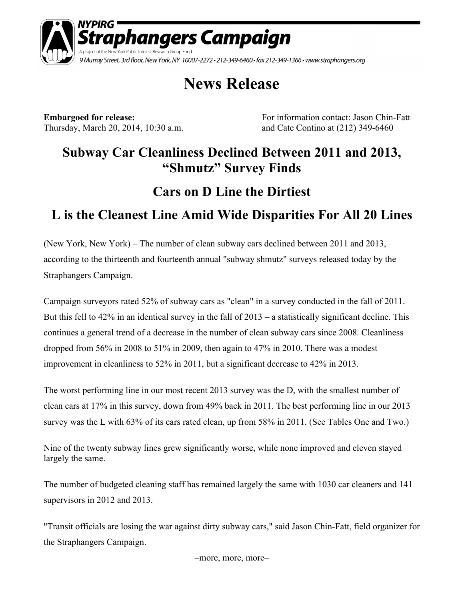

# **News Release**

Thursday, March 20, 2014, 10:30 a.m. and Cate Contino at (212) 349-6460

**Embargoed for release:** For information contact: Jason Chin-Fatt

### **Subway Car Cleanliness Declined Between 2011 and 2013, "Shmutz" Survey Finds**

## **Cars on D Line the Dirtiest**

## **L is the Cleanest Line Amid Wide Disparities For All 20 Lines**

(New York, New York) – The number of clean subway cars declined between 2011 and 2013, according to the thirteenth and fourteenth annual "subway shmutz" surveys released today by the Straphangers Campaign.

Campaign surveyors rated 52% of subway cars as "clean" in a survey conducted in the fall of 2011. But this fell to 42% in an identical survey in the fall of 2013 – a statistically significant decline. This continues a general trend of a decrease in the number of clean subway cars since 2008. Cleanliness dropped from 56% in 2008 to 51% in 2009, then again to 47% in 2010. There was a modest improvement in cleanliness to 52% in 2011, but a significant decrease to 42% in 2013.

The worst performing line in our most recent 2013 survey was the D, with the smallest number of clean cars at 17% in this survey, down from 49% back in 2011. The best performing line in our 2013 survey was the L with 63% of its cars rated clean, up from 58% in 2011. (See Tables One and Two.)

Nine of the twenty subway lines grew significantly worse, while none improved and eleven stayed largely the same.

The number of budgeted cleaning staff has remained largely the same with 1030 car cleaners and 141 supervisors in 2012 and 2013.

"Transit officials are losing the war against dirty subway cars," said Jason Chin-Fatt, field organizer for the Straphangers Campaign.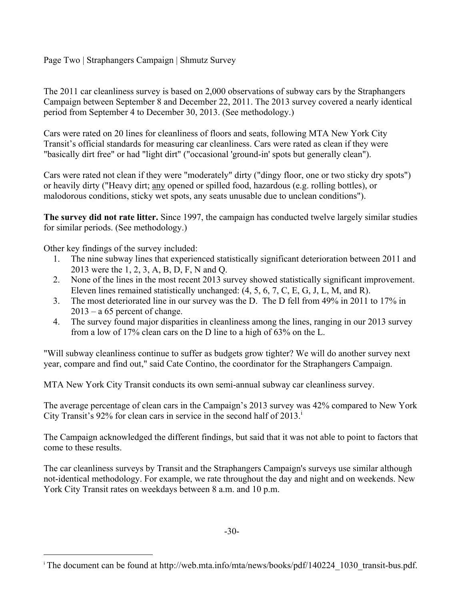Page Two | Straphangers Campaign | Shmutz Survey

The 2011 car cleanliness survey is based on 2,000 observations of subway cars by the Straphangers Campaign between September 8 and December 22, 2011. The 2013 survey covered a nearly identical period from September 4 to December 30, 2013. (See methodology.)

Cars were rated on 20 lines for cleanliness of floors and seats, following MTA New York City Transit's official standards for measuring car cleanliness. Cars were rated as clean if they were "basically dirt free" or had "light dirt" ("occasional 'ground-in' spots but generally clean").

Cars were rated not clean if they were "moderately" dirty ("dingy floor, one or two sticky dry spots") or heavily dirty ("Heavy dirt; any opened or spilled food, hazardous (e.g. rolling bottles), or malodorous conditions, sticky wet spots, any seats unusable due to unclean conditions").

**The survey did not rate litter.** Since 1997, the campaign has conducted twelve largely similar studies for similar periods. (See methodology.)

Other key findings of the survey included:

l

- 1. The nine subway lines that experienced statistically significant deterioration between 2011 and 2013 were the 1, 2, 3, A, B, D, F, N and Q.
- 2. None of the lines in the most recent 2013 survey showed statistically significant improvement. Eleven lines remained statistically unchanged: (4, 5, 6, 7, C, E, G, J, L, M, and R).
- 3. The most deteriorated line in our survey was the D. The D fell from 49% in 2011 to 17% in  $2013 - a 65$  percent of change.
- 4. The survey found major disparities in cleanliness among the lines, ranging in our 2013 survey from a low of 17% clean cars on the D line to a high of 63% on the L.

"Will subway cleanliness continue to suffer as budgets grow tighter? We will do another survey next year, compare and find out," said Cate Contino, the coordinator for the Straphangers Campaign.

MTA New York City Transit conducts its own semi-annual subway car cleanliness survey.

The average percentage of clean cars in the Campaign's 2013 survey was 42% compared to New York City Transit's 92% for clean cars in service in the second half of 2013.

The Campaign acknowledged the different findings, but said that it was not able to point to factors that come to these results.

The car cleanliness surveys by Transit and the Straphangers Campaign's surveys use similar although not-identical methodology. For example, we rate throughout the day and night and on weekends. New York City Transit rates on weekdays between 8 a.m. and 10 p.m.

-30-

i The document can be found at http://web.mta.info/mta/news/books/pdf/140224\_1030\_transit-bus.pdf.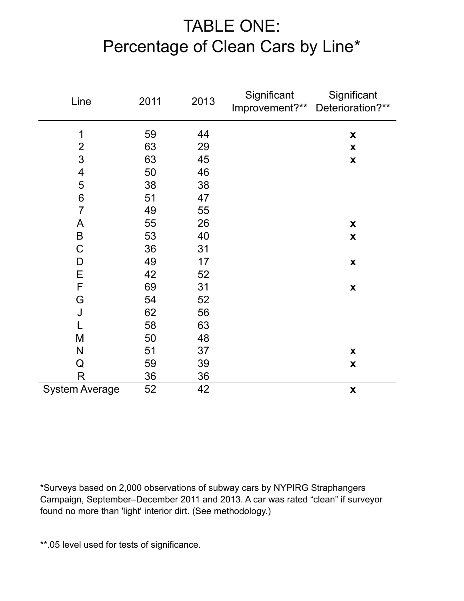# TABLE ONE: Percentage of Clean Cars by Line\*

| Line                  | 2011 | 2013 | Significant<br>Improvement?** | Significant<br>Deterioration?** |
|-----------------------|------|------|-------------------------------|---------------------------------|
| 1                     | 59   | 44   |                               | $\pmb{\mathsf{X}}$              |
| $\frac{2}{3}$         | 63   | 29   |                               | $\pmb{\mathsf{X}}$              |
|                       | 63   | 45   |                               | $\pmb{\mathsf{X}}$              |
| 4                     | 50   | 46   |                               |                                 |
| 5                     | 38   | 38   |                               |                                 |
| $6\,$                 | 51   | 47   |                               |                                 |
| $\overline{7}$        | 49   | 55   |                               |                                 |
| $\mathsf{A}$          | 55   | 26   |                               | $\pmb{\mathsf{X}}$              |
| $\sf B$               | 53   | 40   |                               | $\boldsymbol{\mathsf{X}}$       |
| $\mathsf C$           | 36   | 31   |                               |                                 |
| D                     | 49   | 17   |                               | $\pmb{\mathsf{X}}$              |
| E                     | 42   | 52   |                               |                                 |
| $\mathsf F$           | 69   | 31   |                               | $\pmb{\mathsf{X}}$              |
| G                     | 54   | 52   |                               |                                 |
| J                     | 62   | 56   |                               |                                 |
|                       | 58   | 63   |                               |                                 |
| M                     | 50   | 48   |                               |                                 |
| $\mathsf{N}$          | 51   | 37   |                               | $\pmb{\mathsf{X}}$              |
| Q                     | 59   | 39   |                               | $\pmb{\mathsf{X}}$              |
| R                     | 36   | 36   |                               |                                 |
| <b>System Average</b> | 52   | 42   |                               | $\mathbf x$                     |

\*Surveys based on 2,000 observations of subway cars by NYPIRG Straphangers Campaign, September–December 2011 and 2013. A car was rated "clean" if surveyor found no more than 'light' interior dirt. (See methodology.)

\*\*.05 level used for tests of significance.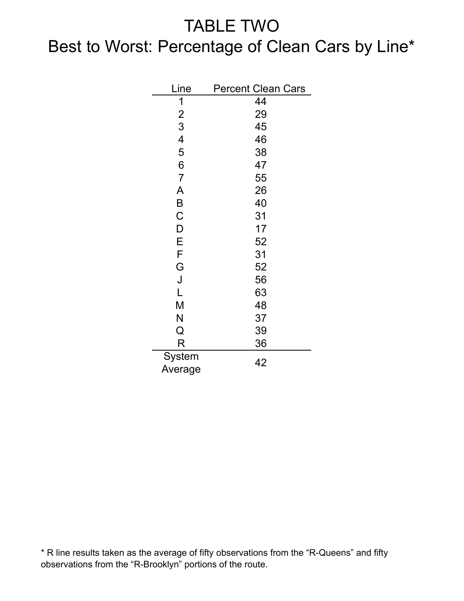## TABLE TWO

# Best to Worst: Percentage of Clean Cars by Line\*

| Line              | <b>Percent Clean Cars</b> |
|-------------------|---------------------------|
| 1                 | 44                        |
| $\overline{2}$    | 29                        |
| 3                 | 45                        |
| 4                 | 46                        |
| 5                 | 38                        |
| 6                 | 47                        |
| $\overline{7}$    | 55                        |
| A                 | 26                        |
| B                 | 40                        |
| $\overline{C}$    | 31                        |
| D                 | 17                        |
| Е                 | 52                        |
| F                 | 31                        |
| G                 | 52                        |
| J                 | 56                        |
| L                 | 63                        |
| M                 | 48                        |
| N                 | 37                        |
| Q                 | 39                        |
| R                 | 36                        |
| System<br>Average | 42                        |

\* R line results taken as the average of fifty observations from the "R-Queens" and fifty observations from the "R-Brooklyn" portions of the route.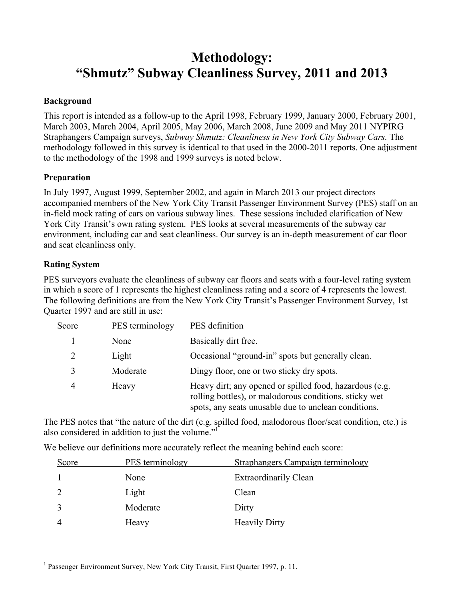## **Methodology: "Shmutz" Subway Cleanliness Survey, 2011 and 2013**

#### **Background**

This report is intended as a follow-up to the April 1998, February 1999, January 2000, February 2001, March 2003, March 2004, April 2005, May 2006, March 2008, June 2009 and May 2011 NYPIRG Straphangers Campaign surveys, *Subway Shmutz: Cleanliness in New York City Subway Cars.* The methodology followed in this survey is identical to that used in the 2000-2011 reports. One adjustment to the methodology of the 1998 and 1999 surveys is noted below.

#### **Preparation**

In July 1997, August 1999, September 2002, and again in March 2013 our project directors accompanied members of the New York City Transit Passenger Environment Survey (PES) staff on an in-field mock rating of cars on various subway lines. These sessions included clarification of New York City Transit's own rating system. PES looks at several measurements of the subway car environment, including car and seat cleanliness. Our survey is an in-depth measurement of car floor and seat cleanliness only.

#### **Rating System**

PES surveyors evaluate the cleanliness of subway car floors and seats with a four-level rating system in which a score of 1 represents the highest cleanliness rating and a score of 4 represents the lowest. The following definitions are from the New York City Transit's Passenger Environment Survey, 1st Quarter 1997 and are still in use:

| Score | PES terminology | PES definition                                                                                                                                                                   |
|-------|-----------------|----------------------------------------------------------------------------------------------------------------------------------------------------------------------------------|
|       | None            | Basically dirt free.                                                                                                                                                             |
|       | Light           | Occasional "ground-in" spots but generally clean.                                                                                                                                |
| 3     | Moderate        | Dingy floor, one or two sticky dry spots.                                                                                                                                        |
| 4     | Heavy           | Heavy dirt; <u>any</u> opened or spilled food, hazardous (e.g.<br>rolling bottles), or malodorous conditions, sticky wet<br>spots, any seats unusable due to unclean conditions. |

The PES notes that "the nature of the dirt (e.g. spilled food, malodorous floor/seat condition, etc.) is also considered in addition to just the volume."1

We believe our definitions more accurately reflect the meaning behind each score:

| PES terminology<br>Straphangers Campaign terminology<br>Score |  |
|---------------------------------------------------------------|--|
| <b>Extraordinarily Clean</b><br>None                          |  |
| Light<br>Clean                                                |  |
| Dirty<br>Moderate                                             |  |
| <b>Heavily Dirty</b><br>Heavy                                 |  |

 $\frac{1}{1}$ <sup>1</sup> Passenger Environment Survey, New York City Transit, First Quarter 1997, p. 11.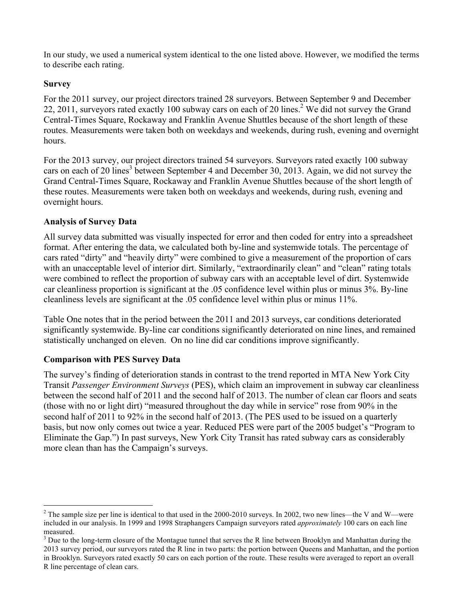In our study, we used a numerical system identical to the one listed above. However, we modified the terms to describe each rating.

#### **Survey**

For the 2011 survey, our project directors trained 28 surveyors. Between September 9 and December 22, 2011, surveyors rated exactly 100 subway cars on each of 20 lines.<sup>2</sup> We did not survey the Grand Central-Times Square, Rockaway and Franklin Avenue Shuttles because of the short length of these routes. Measurements were taken both on weekdays and weekends, during rush, evening and overnight hours.

For the 2013 survey, our project directors trained 54 surveyors. Surveyors rated exactly 100 subway cars on each of 20 lines<sup>3</sup> between September 4 and December 30, 2013. Again, we did not survey the Grand Central-Times Square, Rockaway and Franklin Avenue Shuttles because of the short length of these routes. Measurements were taken both on weekdays and weekends, during rush, evening and overnight hours.

#### **Analysis of Survey Data**

All survey data submitted was visually inspected for error and then coded for entry into a spreadsheet format. After entering the data, we calculated both by-line and systemwide totals. The percentage of cars rated "dirty" and "heavily dirty" were combined to give a measurement of the proportion of cars with an unacceptable level of interior dirt. Similarly, "extraordinarily clean" and "clean" rating totals were combined to reflect the proportion of subway cars with an acceptable level of dirt. Systemwide car cleanliness proportion is significant at the .05 confidence level within plus or minus 3%. By-line cleanliness levels are significant at the .05 confidence level within plus or minus 11%.

Table One notes that in the period between the 2011 and 2013 surveys, car conditions deteriorated significantly systemwide. By-line car conditions significantly deteriorated on nine lines, and remained statistically unchanged on eleven. On no line did car conditions improve significantly.

#### **Comparison with PES Survey Data**

The survey's finding of deterioration stands in contrast to the trend reported in MTA New York City Transit *Passenger Environment Surveys* (PES), which claim an improvement in subway car cleanliness between the second half of 2011 and the second half of 2013. The number of clean car floors and seats (those with no or light dirt) "measured throughout the day while in service" rose from 90% in the second half of 2011 to 92% in the second half of 2013. (The PES used to be issued on a quarterly basis, but now only comes out twice a year. Reduced PES were part of the 2005 budget's "Program to Eliminate the Gap.") In past surveys, New York City Transit has rated subway cars as considerably more clean than has the Campaign's surveys.

 $\frac{1}{2}$  $2$  The sample size per line is identical to that used in the 2000-2010 surveys. In 2002, two new lines—the V and W—were included in our analysis. In 1999 and 1998 Straphangers Campaign surveyors rated *approximately* 100 cars on each line

 $3$  Due to the long-term closure of the Montague tunnel that serves the R line between Brooklyn and Manhattan during the 2013 survey period, our surveyors rated the R line in two parts: the portion between Queens and Manhattan, and the portion in Brooklyn. Surveyors rated exactly 50 cars on each portion of the route. These results were averaged to report an overall R line percentage of clean cars.